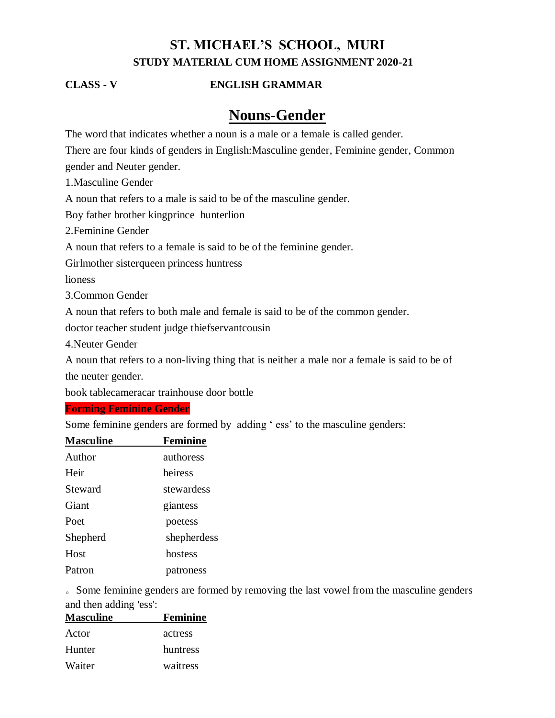# **ST. MICHAEL'S SCHOOL, MURI STUDY MATERIAL CUM HOME ASSIGNMENT 2020-21**

## **CLASS - V ENGLISH GRAMMAR**

# **Nouns-Gender**

The word that indicates whether a noun is a male or a female is called gender.

There are four kinds of genders in English:Masculine gender, Feminine gender, Common

gender and Neuter gender.

1.Masculine Gender

A noun that refers to a male is said to be of the masculine gender.

Boy father brother kingprince hunterlion

2.Feminine Gender

A noun that refers to a female is said to be of the feminine gender.

Girlmother sisterqueen princess huntress

lioness

3.Common Gender

A noun that refers to both male and female is said to be of the common gender.

doctor teacher student judge thiefservantcousin

4.Neuter Gender

A noun that refers to a non-living thing that is neither a male nor a female is said to be of the neuter gender.

book tablecameracar trainhouse door bottle

## **Forming Feminine Gender**

Some feminine genders are formed by adding ' ess' to the masculine genders:

| <b>Masculine</b> | <b>Feminine</b> |
|------------------|-----------------|
| Author           | authoress       |
| Heir             | heiress         |
| Steward          | stewardess      |
| Giant            | giantess        |
| Poet             | poetess         |
| Shepherd         | shepherdess     |
| Host             | hostess         |
| Patron           | patroness       |

。Some feminine genders are formed by removing the last vowel from the masculine genders and then adding 'ess':

| <b>Masculine</b> | <b>Feminine</b> |
|------------------|-----------------|
| Actor            | actress         |
| Hunter           | huntress        |
| Waiter           | waitress        |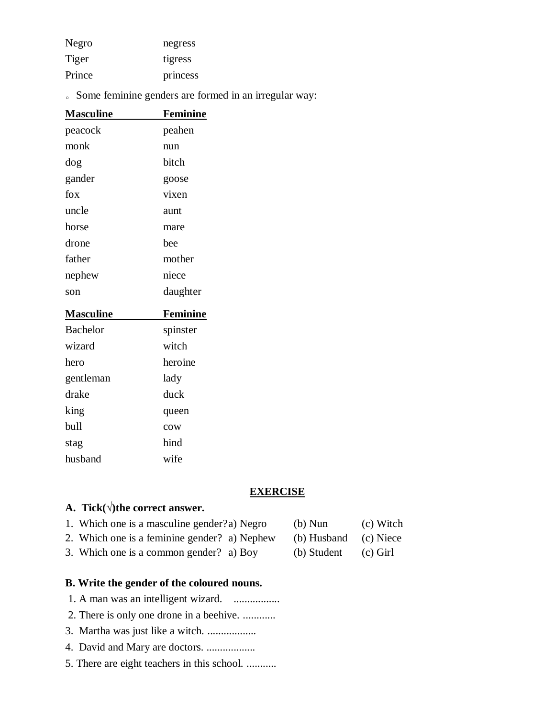| Negro  | negress  |
|--------|----------|
| Tiger  | tigress  |
| Prince | princess |

。Some feminine genders are formed in an irregular way:

| <u>Masculine</u> | <u>Feminine</u> |
|------------------|-----------------|
| peacock          | peahen          |
| monk             | nun             |
| dog              | bitch           |
| gander           | goose           |
| fox              | vixen           |
| uncle            | aunt            |
| horse            | mare            |
| drone            | bee             |
| father           | mother          |
| nephew           | niece           |
|                  |                 |
| son              | daughter        |
| <b>Masculine</b> | <b>Feminine</b> |
| <b>Bachelor</b>  | spinster        |
| wizard           | witch           |
| hero             | heroine         |
| gentleman        | lady            |
| drake            | duck            |
| king             | queen           |
| bull             | cow             |
| stag             | hind            |

## **EXERCISE**

# **A. Tick(√)the correct answer.**

| 1. Which one is a masculine gender?a) Negro  | $(b)$ Nun             | (c) Witch |
|----------------------------------------------|-----------------------|-----------|
| 2. Which one is a feminine gender? a) Nephew | (b) Husband (c) Niece |           |

3. Which one is a common gender? a) Boy (b) Student (c) Girl

- **B. Write the gender of the coloured nouns.** 1. A man was an intelligent wizard. ..................
- 
- 2. There is only one drone in a beehive. ............
- 3. Martha was just like a witch. ..................
- 4. David and Mary are doctors. ..................
- 5. There are eight teachers in this school. ...........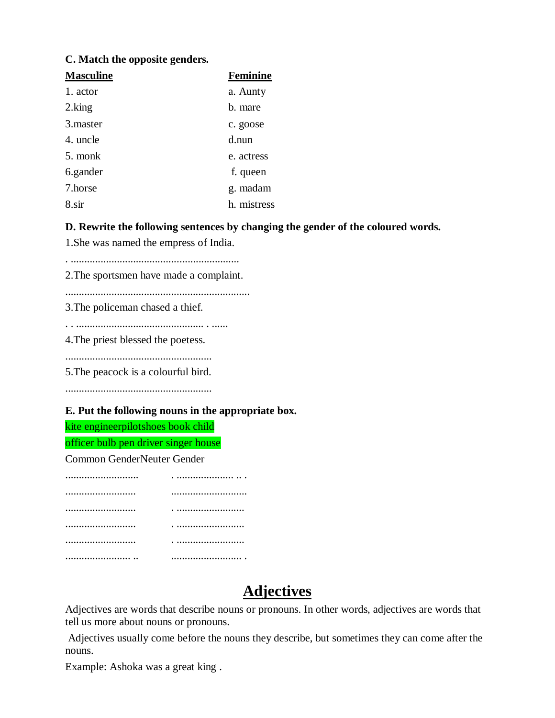## **C. Match the opposite genders.**

| <b>Masculine</b> | <b>Feminine</b> |
|------------------|-----------------|
| 1. actor         | a. Aunty        |
| 2.king           | b. mare         |
| 3. master        | c. goose        |
| 4. uncle         | d.nun           |
| 5. monk          | e. actress      |
| 6.gander         | f. queen        |
| 7.horse          | g. madam        |
| 8.sir            | h. mistress     |

## **D. Rewrite the following sentences by changing the gender of the coloured words.**

1.She was named the empress of India.

. ..............................................................

2.The sportsmen have made a complaint.

....................................................................

3.The policeman chased a thief.

. . ............................................... . ......

4.The priest blessed the poetess.

......................................................

5.The peacock is a colourful bird.

......................................................

#### **E. Put the following nouns in the appropriate box.**

kite engineerpilotshoes book child

officer bulb pen driver singer house

Common GenderNeuter Gender

| <br>. |
|-------|
|       |
| .     |
|       |
| .     |
|       |

# **Adjectives**

Adjectives are words that describe nouns or pronouns. In other words, adjectives are words that tell us more about nouns or pronouns.

Adjectives usually come before the nouns they describe, but sometimes they can come after the nouns.

Example: Ashoka was a great king .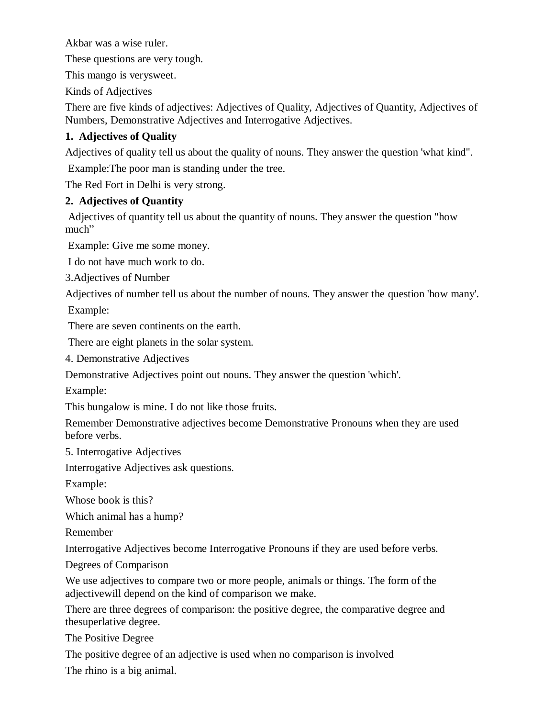Akbar was a wise ruler.

These questions are very tough.

This mango is verysweet.

Kinds of Adjectives

There are five kinds of adjectives: Adjectives of Quality, Adjectives of Quantity, Adjectives of Numbers, Demonstrative Adjectives and Interrogative Adjectives.

# **1. Adjectives of Quality**

Adjectives of quality tell us about the quality of nouns. They answer the question 'what kind".

Example:The poor man is standing under the tree.

The Red Fort in Delhi is very strong.

# **2. Adjectives of Quantity**

Adjectives of quantity tell us about the quantity of nouns. They answer the question "how much"

Example: Give me some money.

I do not have much work to do.

3.Adjectives of Number

Adjectives of number tell us about the number of nouns. They answer the question 'how many'. Example:

There are seven continents on the earth.

There are eight planets in the solar system.

4. Demonstrative Adjectives

Demonstrative Adjectives point out nouns. They answer the question 'which'.

Example:

This bungalow is mine. I do not like those fruits.

Remember Demonstrative adjectives become Demonstrative Pronouns when they are used before verbs.

5. Interrogative Adjectives

Interrogative Adjectives ask questions.

Example:

Whose book is this?

Which animal has a hump?

Remember

Interrogative Adjectives become Interrogative Pronouns if they are used before verbs.

Degrees of Comparison

We use adjectives to compare two or more people, animals or things. The form of the adjectivewill depend on the kind of comparison we make.

There are three degrees of comparison: the positive degree, the comparative degree and thesuperlative degree.

The Positive Degree

The positive degree of an adjective is used when no comparison is involved The rhino is a big animal.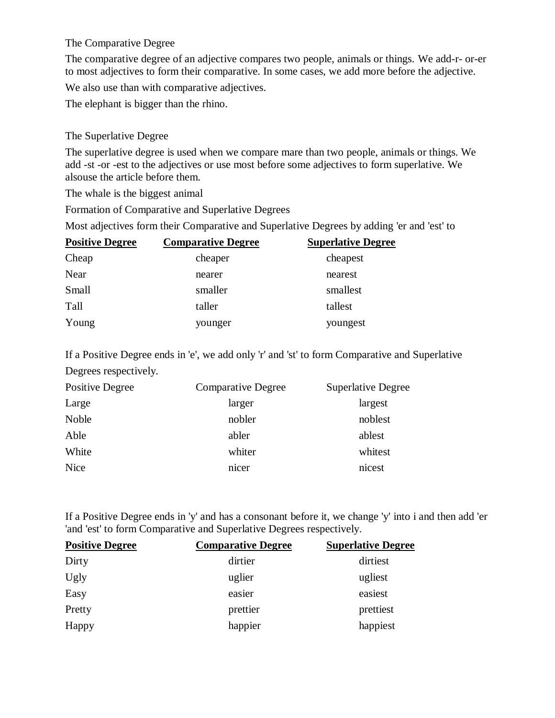## The Comparative Degree

The comparative degree of an adjective compares two people, animals or things. We add-r- or-er to most adjectives to form their comparative. In some cases, we add more before the adjective.

We also use than with comparative adjectives.

The elephant is bigger than the rhino.

# The Superlative Degree

The superlative degree is used when we compare mare than two people, animals or things. We add -st -or -est to the adjectives or use most before some adjectives to form superlative. We alsouse the article before them.

The whale is the biggest animal

Formation of Comparative and Superlative Degrees

Most adjectives form their Comparative and Superlative Degrees by adding 'er and 'est' to

| <b>Positive Degree</b> | <b>Comparative Degree</b> | <b>Superlative Degree</b> |
|------------------------|---------------------------|---------------------------|
| Cheap                  | cheaper                   | cheapest                  |
| Near                   | nearer                    | nearest                   |
| Small                  | smaller                   | smallest                  |
| Tall                   | taller                    | tallest                   |
| Young                  | younger                   | youngest                  |

If a Positive Degree ends in 'e', we add only 'r' and 'st' to form Comparative and Superlative Degrees respectively.

| Positive Degree | <b>Comparative Degree</b> | <b>Superlative Degree</b> |
|-----------------|---------------------------|---------------------------|
| Large           | larger                    | largest                   |
| <b>Noble</b>    | nobler                    | noblest                   |
| Able            | abler                     | ablest                    |
| White           | whiter                    | whitest                   |
| <b>Nice</b>     | nicer                     | nicest                    |

If a Positive Degree ends in 'y' and has a consonant before it, we change 'y' into i and then add 'er 'and 'est' to form Comparative and Superlative Degrees respectively.

| <b>Positive Degree</b> | <b>Comparative Degree</b> | <b>Superlative Degree</b> |
|------------------------|---------------------------|---------------------------|
| Dirty                  | dirtier                   | dirtiest                  |
| Ugly                   | uglier                    | ugliest                   |
| Easy                   | easier                    | easiest                   |
| Pretty                 | prettier                  | prettiest                 |
| Happy                  | happier                   | happiest                  |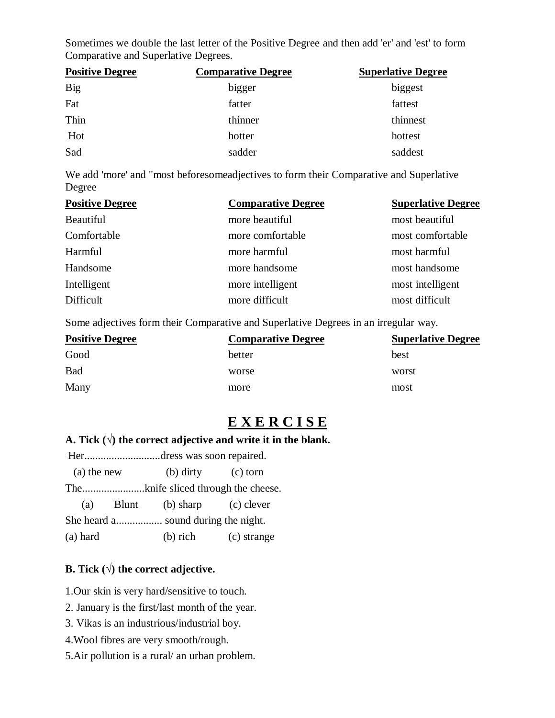Sometimes we double the last letter of the Positive Degree and then add 'er' and 'est' to form Comparative and Superlative Degrees.

| <b>Positive Degree</b> | <b>Comparative Degree</b> | <b>Superlative Degree</b> |
|------------------------|---------------------------|---------------------------|
| <b>Big</b>             | bigger                    | biggest                   |
| Fat                    | fatter                    | fattest                   |
| Thin                   | thinner                   | thinnest                  |
| Hot                    | hotter                    | hottest                   |
| Sad                    | sadder                    | saddest                   |

We add 'more' and "most beforesomeadjectives to form their Comparative and Superlative Degree

| <b>Positive Degree</b> | <b>Comparative Degree</b> | <b>Superlative Degree</b> |
|------------------------|---------------------------|---------------------------|
| Beautiful              | more beautiful            | most beautiful            |
| Comfortable            | more comfortable          | most comfortable          |
| Harmful                | more harmful              | most harmful              |
| Handsome               | more handsome             | most handsome             |
| Intelligent            | more intelligent          | most intelligent          |
| Difficult              | more difficult            | most difficult            |

Some adjectives form their Comparative and Superlative Degrees in an irregular way.

| <b>Positive Degree</b> | <b>Comparative Degree</b> | <b>Superlative Degree</b> |
|------------------------|---------------------------|---------------------------|
| Good                   | better                    | best                      |
| <b>Bad</b>             | worse                     | worst                     |
| Many                   | more                      | most                      |

# **E X E R C I S E**

# **A. Tick**  $(\sqrt{})$  the correct adjective and write it in the blank.

|                                     |  | Herdress was soon repaired. |             |  |
|-------------------------------------|--|-----------------------------|-------------|--|
| (a) the new                         |  | $(b)$ dirty                 | $(c)$ torn  |  |
|                                     |  |                             |             |  |
| (a)                                 |  | Blunt (b) sharp (c) clever  |             |  |
| She heard a sound during the night. |  |                             |             |  |
| (a) hard                            |  | $(b)$ rich                  | (c) strange |  |

# **B. Tick (√) the correct adjective.**

1.Our skin is very hard/sensitive to touch.

2. January is the first/last month of the year.

- 3. Vikas is an industrious/industrial boy.
- 4.Wool fibres are very smooth/rough.
- 5.Air pollution is a rural/ an urban problem.